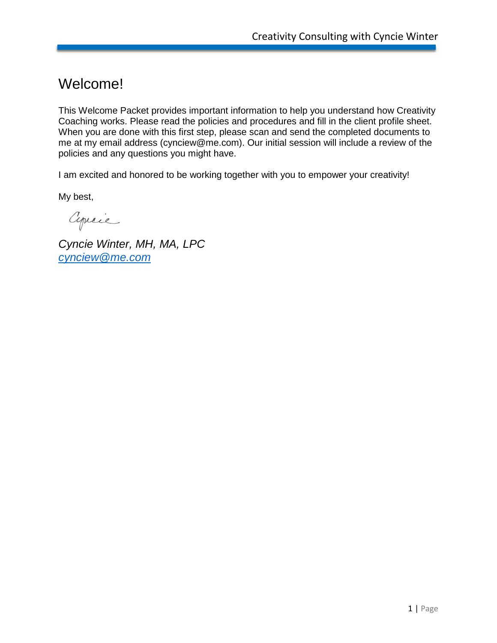#### Welcome!

This Welcome Packet provides important information to help you understand how Creativity Coaching works. Please read the policies and procedures and fill in the client profile sheet. When you are done with this first step, please scan and send the completed documents to me at my email address (cynciew@me.com). Our initial session will include a review of the policies and any questions you might have.

I am excited and honored to be working together with you to empower your creativity!

My best,

Cyrcie

*Cyncie Winter, MH, MA, LPC [cynciew@me.com](mailto:cynciew@me.com)*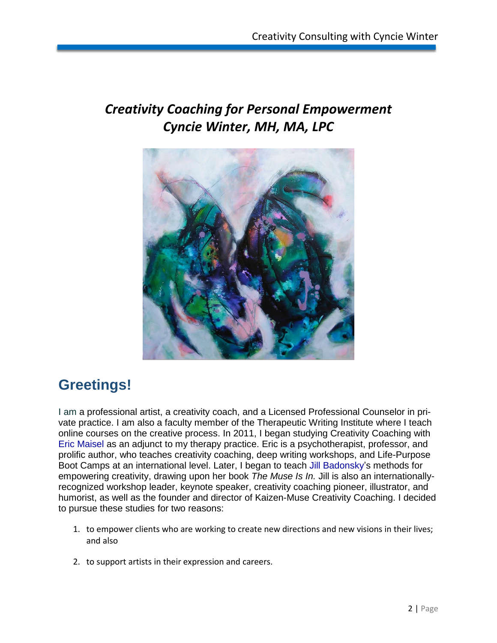### *Creativity Coaching for Personal Empowerment Cyncie Winter, MH, MA, LPC*



### **Greetings!**

I am a professional artist, a creativity coach, and a Licensed Professional Counselor in private practice. I am also a faculty member of the Therapeutic Writing Institute where I teach online courses on the creative process. In 2011, I began studying Creativity Coaching with Eric Maisel as an adjunct to my therapy practice. Eric is a psychotherapist, professor, and prolific author, who teaches creativity coaching, deep writing workshops, and Life-Purpose Boot Camps at an international level. Later, I began to teach Jill Badonsky's methods for empowering creativity, drawing upon her book *The Muse Is In.* Jill is also an internationallyrecognized workshop leader, keynote speaker, creativity coaching pioneer, illustrator, and humorist, as well as the founder and director of Kaizen-Muse Creativity Coaching. I decided to pursue these studies for two reasons:

- 1. to empower clients who are working to create new directions and new visions in their lives; and also
- 2. to support artists in their expression and careers.